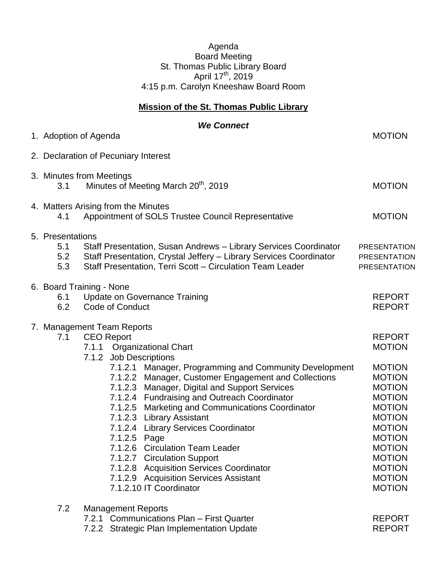## Agenda Board Meeting St. Thomas Public Library Board April 17<sup>th</sup>, 2019 4:15 p.m. Carolyn Kneeshaw Board Room

## **Mission of the St. Thomas Public Library**

| 1. Adoption of Agenda                  | <b>We Connect</b>                                                                                                                                                                                                                                                                                                                                                                                                                                                                                                                                                                                                                                      | <b>MOTION</b>                                                                                                                                                                                                                                               |
|----------------------------------------|--------------------------------------------------------------------------------------------------------------------------------------------------------------------------------------------------------------------------------------------------------------------------------------------------------------------------------------------------------------------------------------------------------------------------------------------------------------------------------------------------------------------------------------------------------------------------------------------------------------------------------------------------------|-------------------------------------------------------------------------------------------------------------------------------------------------------------------------------------------------------------------------------------------------------------|
|                                        | 2. Declaration of Pecuniary Interest                                                                                                                                                                                                                                                                                                                                                                                                                                                                                                                                                                                                                   |                                                                                                                                                                                                                                                             |
|                                        |                                                                                                                                                                                                                                                                                                                                                                                                                                                                                                                                                                                                                                                        |                                                                                                                                                                                                                                                             |
| 3. Minutes from Meetings<br>3.1        | Minutes of Meeting March 20 <sup>th</sup> , 2019                                                                                                                                                                                                                                                                                                                                                                                                                                                                                                                                                                                                       | <b>MOTION</b>                                                                                                                                                                                                                                               |
| 4.1                                    | 4. Matters Arising from the Minutes<br>Appointment of SOLS Trustee Council Representative                                                                                                                                                                                                                                                                                                                                                                                                                                                                                                                                                              | <b>MOTION</b>                                                                                                                                                                                                                                               |
| 5. Presentations<br>5.1<br>5.2<br>5.3  | Staff Presentation, Susan Andrews - Library Services Coordinator<br>Staff Presentation, Crystal Jeffery - Library Services Coordinator<br>Staff Presentation, Terri Scott - Circulation Team Leader                                                                                                                                                                                                                                                                                                                                                                                                                                                    | <b>PRESENTATION</b><br><b>PRESENTATION</b><br><b>PRESENTATION</b>                                                                                                                                                                                           |
| 6. Board Training - None<br>6.1<br>6.2 | <b>Update on Governance Training</b><br><b>Code of Conduct</b>                                                                                                                                                                                                                                                                                                                                                                                                                                                                                                                                                                                         | <b>REPORT</b><br><b>REPORT</b>                                                                                                                                                                                                                              |
| 7.1                                    | 7. Management Team Reports<br><b>CEO Report</b><br>7.1.1 Organizational Chart<br>7.1.2 Job Descriptions<br>7.1.2.1 Manager, Programming and Community Development<br>7.1.2.2 Manager, Customer Engagement and Collections<br>7.1.2.3 Manager, Digital and Support Services<br>7.1.2.4 Fundraising and Outreach Coordinator<br>7.1.2.5 Marketing and Communications Coordinator<br>7.1.2.3 Library Assistant<br>7.1.2.4 Library Services Coordinator<br>7.1.2.5 Page<br>7.1.2.6 Circulation Team Leader<br>7.1.2.7 Circulation Support<br>7.1.2.8 Acquisition Services Coordinator<br>7.1.2.9 Acquisition Services Assistant<br>7.1.2.10 IT Coordinator | <b>REPORT</b><br><b>MOTION</b><br><b>MOTION</b><br><b>MOTION</b><br><b>MOTION</b><br><b>MOTION</b><br><b>MOTION</b><br><b>MOTION</b><br><b>MOTION</b><br><b>MOTION</b><br><b>MOTION</b><br><b>MOTION</b><br><b>MOTION</b><br><b>MOTION</b><br><b>MOTION</b> |
| 7.2                                    | <b>Management Reports</b><br>7.2.1 Communications Plan - First Quarter<br>7.2.2 Strategic Plan Implementation Update                                                                                                                                                                                                                                                                                                                                                                                                                                                                                                                                   | <b>REPORT</b><br><b>REPORT</b>                                                                                                                                                                                                                              |